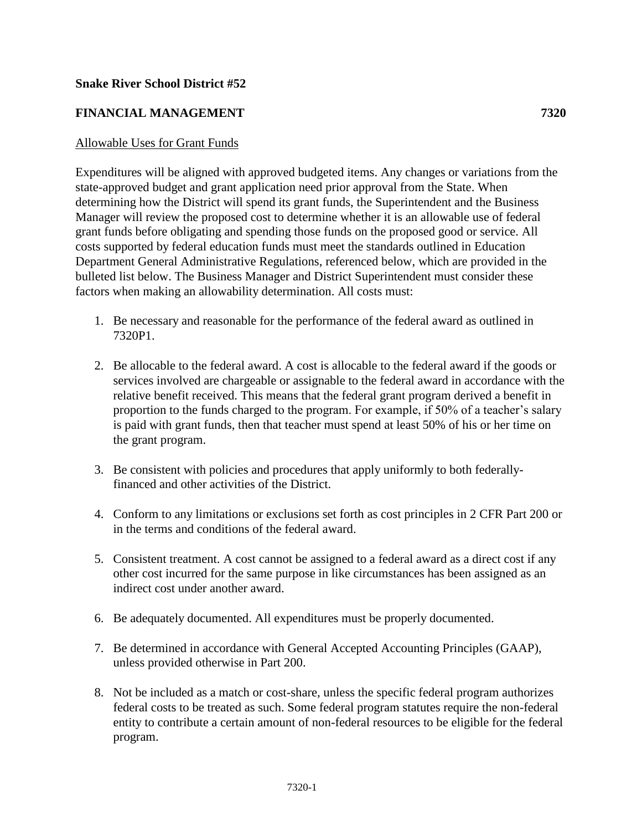## **Snake River School District #52**

## **FINANCIAL MANAGEMENT 7320**

## Allowable Uses for Grant Funds

Expenditures will be aligned with approved budgeted items. Any changes or variations from the state-approved budget and grant application need prior approval from the State. When determining how the District will spend its grant funds, the Superintendent and the Business Manager will review the proposed cost to determine whether it is an allowable use of federal grant funds before obligating and spending those funds on the proposed good or service. All costs supported by federal education funds must meet the standards outlined in Education Department General Administrative Regulations, referenced below, which are provided in the bulleted list below. The Business Manager and District Superintendent must consider these factors when making an allowability determination. All costs must:

- 1. Be necessary and reasonable for the performance of the federal award as outlined in 7320P1.
- 2. Be allocable to the federal award. A cost is allocable to the federal award if the goods or services involved are chargeable or assignable to the federal award in accordance with the relative benefit received. This means that the federal grant program derived a benefit in proportion to the funds charged to the program. For example, if 50% of a teacher's salary is paid with grant funds, then that teacher must spend at least 50% of his or her time on the grant program.
- 3. Be consistent with policies and procedures that apply uniformly to both federallyfinanced and other activities of the District.
- 4. Conform to any limitations or exclusions set forth as cost principles in 2 CFR Part 200 or in the terms and conditions of the federal award.
- 5. Consistent treatment. A cost cannot be assigned to a federal award as a direct cost if any other cost incurred for the same purpose in like circumstances has been assigned as an indirect cost under another award.
- 6. Be adequately documented. All expenditures must be properly documented.
- 7. Be determined in accordance with General Accepted Accounting Principles (GAAP), unless provided otherwise in Part 200.
- 8. Not be included as a match or cost-share, unless the specific federal program authorizes federal costs to be treated as such. Some federal program statutes require the non-federal entity to contribute a certain amount of non-federal resources to be eligible for the federal program.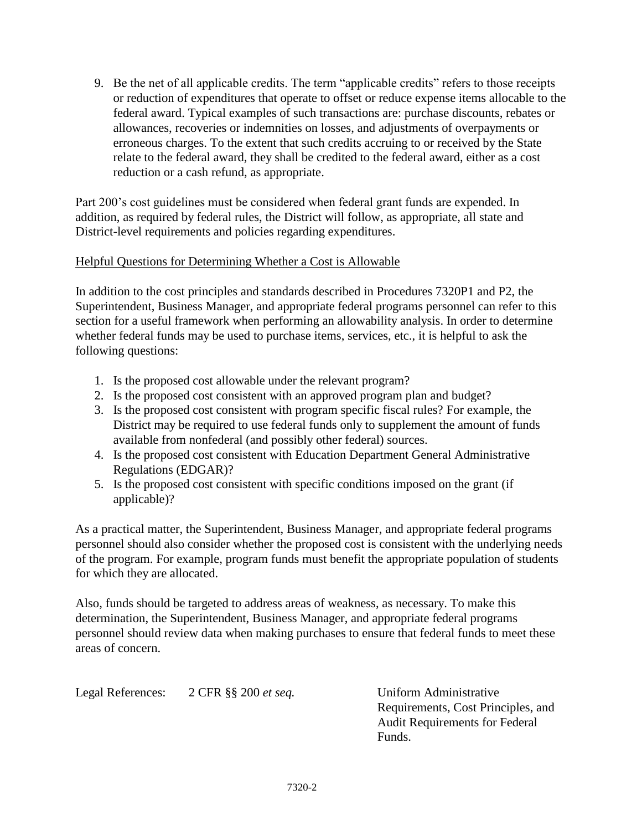9. Be the net of all applicable credits. The term "applicable credits" refers to those receipts or reduction of expenditures that operate to offset or reduce expense items allocable to the federal award. Typical examples of such transactions are: purchase discounts, rebates or allowances, recoveries or indemnities on losses, and adjustments of overpayments or erroneous charges. To the extent that such credits accruing to or received by the State relate to the federal award, they shall be credited to the federal award, either as a cost reduction or a cash refund, as appropriate.

Part 200's cost guidelines must be considered when federal grant funds are expended. In addition, as required by federal rules, the District will follow, as appropriate, all state and District-level requirements and policies regarding expenditures.

## Helpful Questions for Determining Whether a Cost is Allowable

In addition to the cost principles and standards described in Procedures 7320P1 and P2, the Superintendent, Business Manager, and appropriate federal programs personnel can refer to this section for a useful framework when performing an allowability analysis. In order to determine whether federal funds may be used to purchase items, services, etc., it is helpful to ask the following questions:

- 1. Is the proposed cost allowable under the relevant program?
- 2. Is the proposed cost consistent with an approved program plan and budget?
- 3. Is the proposed cost consistent with program specific fiscal rules? For example, the District may be required to use federal funds only to supplement the amount of funds available from nonfederal (and possibly other federal) sources.
- 4. Is the proposed cost consistent with Education Department General Administrative Regulations (EDGAR)?
- 5. Is the proposed cost consistent with specific conditions imposed on the grant (if applicable)?

As a practical matter, the Superintendent, Business Manager, and appropriate federal programs personnel should also consider whether the proposed cost is consistent with the underlying needs of the program. For example, program funds must benefit the appropriate population of students for which they are allocated.

Also, funds should be targeted to address areas of weakness, as necessary. To make this determination, the Superintendent, Business Manager, and appropriate federal programs personnel should review data when making purchases to ensure that federal funds to meet these areas of concern.

Legal References: 2 CFR §§ 200 *et seq.* Uniform Administrative Requirements, Cost Principles, and Audit Requirements for Federal Funds.